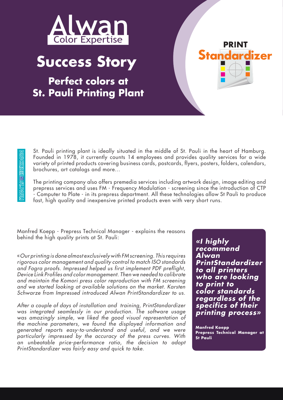

## **Success Story**

**Perfect colors at St. Pauli Printing Plant**



St. Pauli printing plant is ideally situated in the middle of St. Pauli in the heart of Hamburg. Founded in 1978, it currently counts 14 employees and provides quality services for a wide variety of printed products covering business cards, postcards, flyers, posters, folders, calendars, brochures, art catalogs and more...

The printing company also offers premedia services including artwork design, image editing and prepress services and uses FM - Frequency Modulation - screening since the introduction of CTP - Computer to Plate - in its prepress department. All these technologies allow St Pauli to produce fast, high quality and inexpensive printed products even with very short runs.

Manfred Koepp - Prepress Technical Manager - explains the reasons behind the high quality prints at St. Pauli:

«*Our printing is done almost exclusively with FM screening. This requires rigorous color management and quality control to match ISO standards and Fogra proofs. Impressed helped us first implement PDF preflight, Device Link Profiles and color management. Then we needed to calibrate and maintain the Komori press color reproduction with FM screening and we started looking at available solutions on the market. Karsten Schwarze from Impressed introduced Alwan PrintStandardizer to us.* 

*After a couple of days of installation and training, PrintStandardizer was integrated seamlessly in our production. The software usage was amazingly simple, we liked the good visual representation of the machine parameters, we found the displayed information and generated reports easy-to-understand and useful, and we were particularly impressed by the accuracy of the press curves. With an unbeatable price-performance ratio, the decision to adopt PrintStandardizer was fairly easy and quick to take.*

*«I highly recommend Alwan PrintStandardizer to all printers who are looking to print to color standards regardless of the specifics of their printing process»*

**Manfred Koepp Prepress Technical Manager at St Pauli**